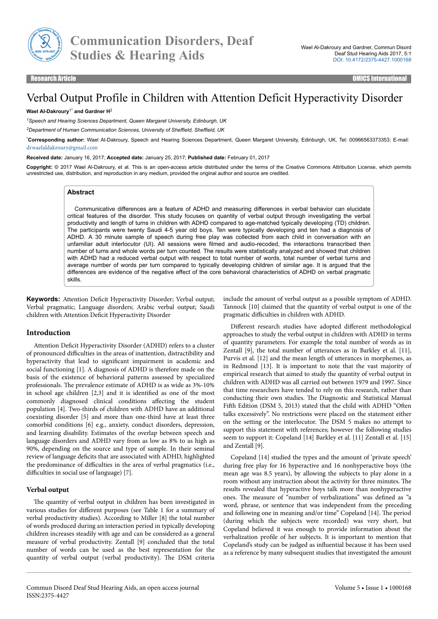

# Verbal Output Profile in Children with Attention Deficit Hyperactivity Disorder

#### **Wael Al-Dakroury**1\* **and Gardner H**<sup>2</sup>

*<sup>1</sup>Speech and Hearing Sciences Department, Queen Margaret University, Edinburgh, UK*

*<sup>2</sup>Department of Human Communication Sciences, University of Sheffield, Sheffield, UK*

\***Corresponding author:** Wael Al-Dakroury, Speech and Hearing Sciences Department, Queen Margaret University, Edinburgh, UK, Tel: 00966563373353; E-mail: [drwaelaldakroury@gmail.com](mailto:drwaelaldakroury@gmail.com)

**Received date:** January 16, 2017; **Accepted date:** January 25, 2017; **Published date:** February 01, 2017

**Copyright:** © 2017 Wael Al-Dakroury, et al. This is an open-access article distributed under the terms of the Creative Commons Attribution License, which permits unrestricted use, distribution, and reproduction in any medium, provided the original author and source are credited.

#### **Abstract**

Communicative differences are a feature of ADHD and measuring differences in verbal behavior can elucidate critical features of the disorder. This study focuses on quantity of verbal output through investigating the verbal productivity and length of turns in children with ADHD compared to age-matched typically developing (TD) children. The participants were twenty Saudi 4-5 year old boys. Ten were typically developing and ten had a diagnosis of ADHD. A 30 minute sample of speech during free play was collected from each child in conversation with an unfamiliar adult interlocutor (UI). All sessions were filmed and audio-recoded, the interactions transcribed then number of turns and whole words per turn counted. The results were statistically analyzed and showed that children with ADHD had a reduced verbal output with respect to total number of words, total number of verbal turns and average number of words per turn compared to typically developing children of similar age. It is argued that the differences are evidence of the negative effect of the core behavioral characteristics of ADHD on verbal pragmatic skills.

**Keywords:** Attention Deficit Hyperactivity Disorder; Verbal output; Verbal pragmatic; Language disorders; Arabic verbal output; Saudi children with Attention Deficit Hyperactivity Disorder

## **Introduction**

Attention Deficit Hyperactivity Disorder (ADHD) refers to a cluster of pronounced difficulties in the areas of inattention, distractibility and hyperactivity that lead to significant impairment in academic and social functioning [1]. A diagnosis of ADHD is therefore made on the basis of the existence of behavioral patterns assessed by specialized professionals. Нe prevalence estimate of ADHD is as wide as 3%-10% in school age children [2,3] and it is identified as one of the most commonly diagnosed clinical conditions affecting the student population [4]. Two-thirds of children with ADHD have an additional coexisting disorder [5] and more than one-third have at least three comorbid conditions [6] e.g., anxiety, conduct disorders, depression, and learning disability. Estimates of the overlap between speech and language disorders and ADHD vary from as low as 8% to as high as 90%, depending on the source and type of sample. In their seminal review of language deficits that are associated with ADHD, highlighted the predominance of difficulties in the area of verbal pragmatics (i.e., difficulties in social use of language) [7].

#### **Verbal output**

The quantity of verbal output in children has been investigated in various studies for different purposes (see Table 1 for a summary of verbal productivity studies). According to Miller [8] the total number of words produced during an interaction period in typically developing children increases steadily with age and can be considered as a general measure of verbal productivity. Zentall [9] concluded that the total number of words can be used as the best representation for the quantity of verbal output (verbal productivity). Нe DSM criteria

include the amount of verbal output as a possible symptom of ADHD. Tannock [10] claimed that the quantity of verbal output is one of the pragmatic difficulties in children with ADHD.

Different research studies have adopted different methodological approaches to study the verbal output in children with ADHD in terms of quantity parameters. For example the total number of words as in Zentall [9], the total number of utterances as in Barkley et al. [11], Purvis et al. [12] and the mean length of utterances in morphemes, as in Redmond [13]. It is important to note that the vast majority of empirical research that aimed to study the quantity of verbal output in children with ADHD was all carried out between 1979 and 1997. Since that time researchers have tended to rely on this research, rather than conducting their own studies. Нe Diagnostic and Statistical Manual Fifth Edition (DSM 5, 2013) stated that the child with ADHD "Often talks excessively". No restrictions were placed on the statement either on the setting or the interlocutor. Нe DSM 5 makes no attempt to support this statement with references; however the following studies seem to support it: Copeland [14] Barkley et al. [11] Zentall et al. [15] and Zentall [9].

Copeland [14] studied the types and the amount of 'private speech' during free play for 16 hyperactive and 16 nonhyperactive boys (the mean age was 8.5 years), by allowing the subjects to play alone in a room without any instruction about the activity for three minutes. Нe results revealed that hyperactive boys talk more than nonhyperactive ones. Нe measure of "number of verbalizations" was defined as "a word, phrase, or sentence that was independent from the preceding and following one in meaning and/or time" Copeland [14]. Нe period (during which the subjects were recorded) was very short, but Copeland believed it was enough to provide information about the verbalization profile of her subjects. It is important to mention that Copeland's study can be judged as influential because it has been used as a reference by many subsequent studies that investigated the amount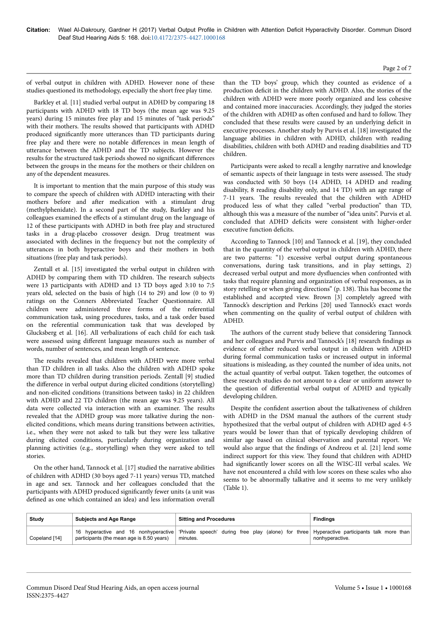#### Page 2 of 7

of verbal output in children with ADHD. However none of these studies questioned its methodology, especially the short free play time.

Barkley et al. [11] studied verbal output in ADHD by comparing 18 participants with ADHD with 18 TD boys (the mean age was 9.25 years) during 15 minutes free play and 15 minutes of "task periods" with their mothers. Нe results showed that participants with ADHD produced significantly more utterances than TD participants during free play and there were no notable differences in mean length of utterance between the ADHD and the TD subjects. However the results for the structured task periods showed no significant differences between the groups in the means for the mothers or their children on any of the dependent measures.

It is important to mention that the main purpose of this study was to compare the speech of children with ADHD interacting with their mothers before and after medication with a stimulant drug (methylphenidate). In a second part of the study, Barkley and his colleagues examined the effects of a stimulant drug on the language of 12 of these participants with ADHD in both free play and structured tasks in a drug-placebo crossover design. Drug treatment was associated with declines in the frequency but not the complexity of utterances in both hyperactive boys and their mothers in both situations (free play and task periods).

Zentall et al. [15] investigated the verbal output in children with ADHD by comparing them with TD children. Нe research subjects were 13 participants with ADHD and 13 TD boys aged 3:10 to 7:5 years old, selected on the basis of high (14 to 29) and low (0 to 9) ratings on the Conners Abbreviated Teacher Questionnaire. All children were administered three forms of the referential communication task, using procedures, tasks, and a task order based on the referential communication task that was developed by Glucksberg et al. [16]. All verbalizations of each child for each task were assessed using different language measures such as number of words, number of sentences, and mean length of sentence.

The results revealed that children with ADHD were more verbal than TD children in all tasks. Also the children with ADHD spoke more than TD children during transition periods. Zentall [9] studied the difference in verbal output during elicited conditions (storytelling) and non-elicited conditions (transitions between tasks) in 22 children with ADHD and 22 TD children (the mean age was 9.25 years). All data were collected via interaction with an examiner. Нe results revealed that the ADHD group was more talkative during the nonelicited conditions, which means during transitions between activities, i.e., when they were not asked to talk but they were less talkative during elicited conditions, particularly during organization and planning activities (e.g., storytelling) when they were asked to tell stories.

On the other hand, Tannock et al. [17] studied the narrative abilities of children with ADHD (30 boys aged 7-11 years) versus TD, matched in age and sex. Tannock and her colleagues concluded that the participants with ADHD produced significantly fewer units (a unit was defined as one which contained an idea) and less information overall

than the TD boys' group, which they counted as evidence of a production deficit in the children with ADHD. Also, the stories of the children with ADHD were more poorly organized and less cohesive and contained more inaccuracies. Accordingly, they judged the stories of the children with ADHD as often confused and hard to follow. They concluded that these results were caused by an underlying deficit in executive processes. Another study by Purvis et al. [18] investigated the language abilities in children with ADHD, children with reading disabilities, children with both ADHD and reading disabilities and TD children.

Participants were asked to recall a lengthy narrative and knowledge of semantic aspects of their language in tests were assessed. Нe study was conducted with 50 boys (14 ADHD, 14 ADHD and reading disability, 8 reading disability only, and 14 TD) with an age range of 7-11 years. Нe results revealed that the children with ADHD produced less of what they called "verbal production" than TD, although this was a measure of the number of "idea units". Purvis et al. concluded that ADHD deficits were consistent with higher-order executive function deficits.

According to Tannock [10] and Tannock et al. [19], they concluded that in the quantity of the verbal output in children with ADHD, there are two patterns: "1) excessive verbal output during spontaneous conversations, during task transitions, and in play settings, 2) decreased verbal output and more dysfluencies when confronted with tasks that require planning and organization of verbal responses, as in story retelling or when giving directions" (p. 138). Нis has become the established and accepted view. Brown [3] completely agreed with Tannock's description and Perkins [20] used Tannock's exact words when commenting on the quality of verbal output of children with ADHD.

The authors of the current study believe that considering Tannock and her colleagues and Purvis and Tannock's [18] research findings as evidence of either reduced verbal output in children with ADHD during formal communication tasks or increased output in informal situations is misleading, as they counted the number of idea units, not the actual quantity of verbal output. Taken together, the outcomes of these research studies do not amount to a clear or uniform answer to the question of differential verbal output of ADHD and typically developing children.

Despite the confident assertion about the talkativeness of children with ADHD in the DSM manual the authors of the current study hypothesized that the verbal output of children with ADHD aged 4-5 years would be lower than that of typically developing children of similar age based on clinical observation and parental report. We would also argue that the findings of Andreou et al. [21] lend some indirect support for this view. Нey found that children with ADHD had significantly lower scores on all the WISC-III verbal scales. We have not encountered a child with low scores on these scales who also seems to be abnormally talkative and it seems to me very unlikely (Table 1).

| Study         | <b>Subjects and Age Range</b>             | <b>Sitting and Procedures</b>                                                                                                                | <b>Findings</b> |
|---------------|-------------------------------------------|----------------------------------------------------------------------------------------------------------------------------------------------|-----------------|
| Copeland [14] | participants (the mean age is 8.50 years) | 16 hyperactive and 16 nonhyperactive 'Private speech' during free play (alone) for three Hyperactive participants talk more than<br>minutes. | nonhyperactive. |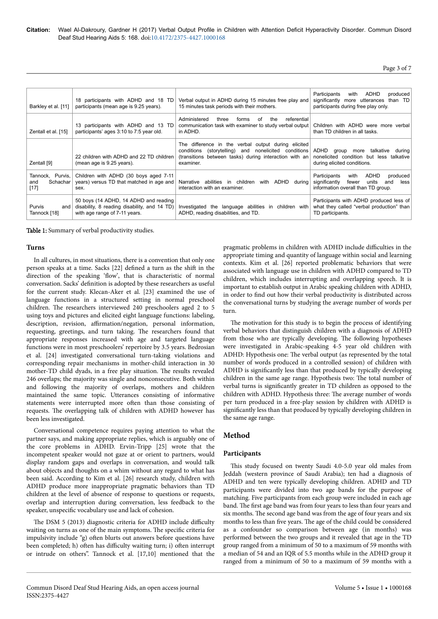# Page 3 of 7

| Barkley et al. [11]                           | 18 participants with ADHD and 18 TD<br>participants (mean age is 9.25 years).                                          | Verbal output in ADHD during 15 minutes free play and<br>15 minutes task periods with their mothers.                                                                                        | Participants<br>with<br>ADHD<br>produced<br>than TD<br>significantly more utterances<br>participants during free play only.             |
|-----------------------------------------------|------------------------------------------------------------------------------------------------------------------------|---------------------------------------------------------------------------------------------------------------------------------------------------------------------------------------------|-----------------------------------------------------------------------------------------------------------------------------------------|
| Zentall et al. [15]                           | 13 participants with ADHD and 13 TD<br>participants' ages 3:10 to 7:5 year old.                                        | Administered<br>referential<br>three<br>forms<br>of<br>the<br>communication task with examiner to study verbal output<br>in ADHD.                                                           | Children with ADHD were more verbal<br>than TD children in all tasks.                                                                   |
| Zentall [9]                                   | 22 children with ADHD and 22 TD children<br>(mean age is 9.25 years).                                                  | The difference in the verbal output during elicited<br>(storytelling)<br>nonelicited conditions<br>conditions<br>and<br>(transitions between tasks) during interaction with an<br>examiner. | ADHD<br>talkative<br>group<br>more<br>durina<br>nonelicited condition but less talkative<br>during elicited conditions.                 |
| Tannock, Purvis,<br>Schachar<br>and<br>$[17]$ | Children with ADHD (30 boys aged 7-11<br>years) versus TD that matched in age and<br>sex.                              | in children<br>ADHD<br>abilities<br>with<br>Narrative<br>durina l<br>interaction with an examiner.                                                                                          | Participants<br><b>ADHD</b><br>with<br>produced<br>significantly<br>units<br>fewer<br>and<br>less<br>information overall than TD group. |
| <b>Purvis</b><br>and<br>Tannock [18]          | 50 boys (14 ADHD, 14 ADHD and reading<br>disability, 8 reading disability, and 14 TD)<br>with age range of 7-11 years. | Investigated the language abilities in children with<br>ADHD, reading disabilities, and TD.                                                                                                 | Participants with ADHD produced less of<br>what they called "verbal production" than<br>TD participants.                                |

Table 1: Summary of verbal productivity studies.

### **Turns**

In all cultures, in most situations, there is a convention that only one person speaks at a time. Sacks [22] defined a turn as the shift in the direction of the speaking 'flow', that is characteristic of normal conversation. Sacks' definition is adopted by these researchers as useful for the current study. Klecan-Aker et al. [23] examined the use of language functions in a structured setting in normal preschool children. Нe researchers interviewed 240 preschoolers aged 2 to 5 using toys and pictures and elicited eight language functions: labeling, description, revision, affirmation/negation, personal information, requesting, greetings, and turn taking. Нe researchers found that appropriate responses increased with age and targeted language functions were in most preschoolers' repertoire by 3.5 years. Bedrosian et al. [24] investigated conversational turn-taking violations and corresponding repair mechanisms in mother-child interaction in 30 mother-TD child dyads, in a free play situation. Нe results revealed 246 overlaps; the majority was single and nonconsecutive. Both within and following the majority of overlaps, mothers and children maintained the same topic. Utterances consisting of informative statements were interrupted more often than those consisting of requests. Нe overlapping talk of children with ADHD however has been less investigated.

Conversational competence requires paying attention to what the partner says, and making appropriate replies, which is arguably one of the core problems in ADHD. Ervin-Tripp [25] wrote that the incompetent speaker would not gaze at or orient to partners, would display random gaps and overlaps in conversation, and would talk about objects and thoughts on a whim without any regard to what has been said. According to Kim et al. [26] research study, children with ADHD produce more inappropriate pragmatic behaviors than TD children at the level of absence of response to questions or requests, overlap and interruption during conversation, less feedback to the speaker, unspecific vocabulary use and lack of cohesion.

The DSM 5 (2013) diagnostic criteria for ADHD include difficulty waiting on turns as one of the main symptoms. Нe specific criteria for impulsivity include "g) often blurts out answers before questions have been completed; h) often has difficulty waiting turn; i) often interrupt or intrude on others". Tannock et al. [17,10] mentioned that the pragmatic problems in children with ADHD include difficulties in the appropriate timing and quantity of language within social and learning contexts. Kim et al. [26] reported problematic behaviors that were associated with language use in children with ADHD compared to TD children, which includes interrupting and overlapping speech. It is important to establish output in Arabic speaking children with ADHD, in order to find out how their verbal productivity is distributed across the conversational turns by studying the average number of words per turn.

The motivation for this study is to begin the process of identifying verbal behaviors that distinguish children with a diagnosis of ADHD from those who are typically developing. Нe following hypotheses were investigated in Arabic-speaking 4-5 year old children with ADHD: Hypothesis one: Нe verbal output (as represented by the total number of words produced in a controlled session) of children with ADHD is significantly less than that produced by typically developing children in the same age range. Hypothesis two: Нe total number of verbal turns is significantly greater in TD children as opposed to the children with ADHD. Hypothesis three: Нe average number of words per turn produced in a free-play session by children with ADHD is significantly less than that produced by typically developing children in the same age range.

# **Method**

# **Participants**

This study focused on twenty Saudi 4.0-5.0 year old males from Jeddah (western province of Saudi Arabia); ten had a diagnosis of ADHD and ten were typically developing children. ADHD and TD participants were divided into two age bands for the purpose of matching. Five participants from each group were included in each age band. Нe first age band was from four years to less than four years and six months. Нe second age band was from the age of four years and six months to less than five years. Нe age of the child could be considered as a confounder so comparison between age (in months) was performed between the two groups and it revealed that age in the TD group ranged from a minimum of 50 to a maximum of 59 months with a median of 54 and an IQR of 5.5 months while in the ADHD group it ranged from a minimum of 50 to a maximum of 59 months with a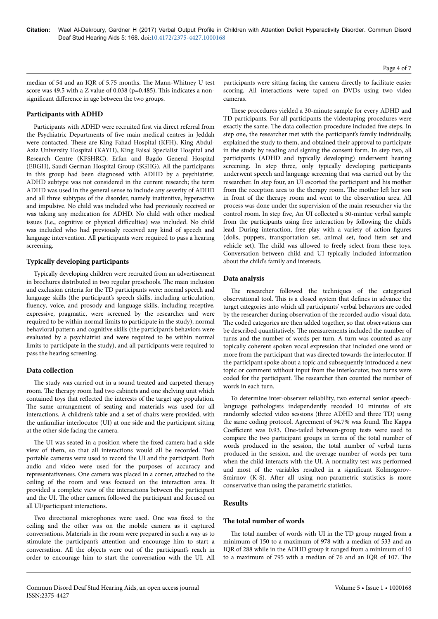median of 54 and an IQR of 5.75 months. Нe Mann-Whitney U test score was 49.5 with a Z value of 0.038 (p=0.485). This indicates a nonsignificant difference in age between the two groups.

### **Participants with ADHD**

Participants with ADHD were recruited first via direct referral from the Psychiatric Departments of five main medical centres in Jeddah were contacted. These are King Fahad Hospital (KFH), King Abdul-Aziz University Hospital (KAYH), King Faisal Specialist Hospital and Research Centre (KFSHRC), Erfan and Bagdo General Hospital (EBGH), Saudi German Hospital Group (SGHG). All the participants in this group had been diagnosed with ADHD by a psychiatrist. ADHD subtype was not considered in the current research; the term ADHD was used in the general sense to include any severity of ADHD and all three subtypes of the disorder, namely inattentive, hyperactive and impulsive. No child was included who had previously received or was taking any medication for ADHD. No child with other medical issues (i.e., cognitive or physical difficulties) was included. No child was included who had previously received any kind of speech and language intervention. All participants were required to pass a hearing screening.

#### **Typically developing participants**

Typically developing children were recruited from an advertisement in brochures distributed in two regular preschools. Нe main inclusion and exclusion criteria for the TD participants were: normal speech and language skills (the participant's speech skills, including articulation, fluency, voice, and prosody and language skills, including receptive, expressive, pragmatic, were screened by the researcher and were required to be within normal limits to participate in the study), normal behavioral pattern and cognitive skills (the participant's behaviors were evaluated by a psychiatrist and were required to be within normal limits to participate in the study), and all participants were required to pass the hearing screening.

### **Data collection**

The study was carried out in a sound treated and carpeted therapy room. Нe therapy room had two cabinets and one shelving unit which contained toys that reflected the interests of the target age population. The same arrangement of seating and materials was used for all interactions. A children's table and a set of chairs were provided, with the unfamiliar interlocutor (UI) at one side and the participant sitting at the other side facing the camera.

The UI was seated in a position where the fixed camera had a side view of them, so that all interactions would all be recorded. Two portable cameras were used to record the UI and the participant. Both audio and video were used for the purposes of accuracy and representativeness. One camera was placed in a corner, attached to the ceiling of the room and was focused on the interaction area. It provided a complete view of the interactions between the participant and the UI. Нe other camera followed the participant and focused on all UI/participant interactions.

Two directional microphones were used. One was fixed to the ceiling and the other was on the mobile camera as it captured conversations. Materials in the room were prepared in such a way as to stimulate the participant's attention and encourage him to start a conversation. All the objects were out of the participant's reach in order to encourage him to start the conversation with the UI. All participants were sitting facing the camera directly to facilitate easier scoring. All interactions were taped on DVDs using two video cameras.

These procedures yielded a 30-minute sample for every ADHD and TD participants. For all participants the videotaping procedures were exactly the same. Нe data collection procedure included five steps. In step one, the researcher met with the participant's family individually, explained the study to them, and obtained their approval to participate in the study by reading and signing the consent form. In step two, all participants (ADHD and typically developing) underwent hearing screening. In step three, only typically developing participants underwent speech and language screening that was carried out by the researcher. In step four, an UI escorted the participant and his mother from the reception area to the therapy room. The mother left her son in front of the therapy room and went to the observation area. All process was done under the supervision of the main researcher via the control room. In step five, An UI collected a 30-mintue verbal sample from the participants using free interaction by following the child's lead. During interaction, free play with a variety of action figures (dolls, puppets, transportation set, animal set, food item set and vehicle set). Нe child was allowed to freely select from these toys. Conversation between child and UI typically included information about the child's family and interests.

### **Data analysis**

The researcher followed the techniques of the categorical observational tool. Нis is a closed system that defines in advance the target categories into which all participants' verbal behaviors are coded by the researcher during observation of the recorded audio-visual data. The coded categories are then added together, so that observations can be described quantitatively. Нe measurements included the number of turns and the number of words per turn. A turn was counted as any topically coherent spoken vocal expression that included one word or more from the participant that was directed towards the interlocutor. If the participant spoke about a topic and subsequently introduced a new topic or comment without input from the interlocutor, two turns were coded for the participant. Нe researcher then counted the number of words in each turn.

To determine inter-observer reliability, two external senior speechlanguage pathologists independently recoded 10 minutes of six randomly selected video sessions (three ADHD and three TD) using the same coding protocol. Agreement of 94.7% was found. Нe Kappa Coefficient was 0.93. One-tailed between-group tests were used to compare the two participant groups in terms of the total number of words produced in the session, the total number of verbal turns produced in the session, and the average number of words per turn when the child interacts with the UI. A normality test was performed and most of the variables resulted in a significant Kolmogorov-Smirnov (K-S). After all using non-parametric statistics is more conservative than using the parametric statistics.

## **Results**

### **The total number of words**

The total number of words with UI in the TD group ranged from a minimum of 150 to a maximum of 978 with a median of 533 and an IQR of 288 while in the ADHD group it ranged from a minimum of 10 to a maximum of 795 with a median of 76 and an IQR of 107. Нe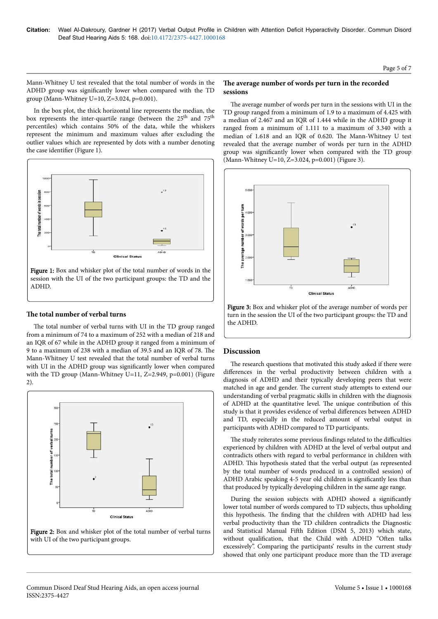Mann-Whitney U test revealed that the total number of words in the ADHD group was significantly lower when compared with the TD group (Mann-Whitney U=10, Z=3.024, p=0.001).

In the box plot, the thick horizontal line represents the median, the box represents the inter-quartile range (between the 25<sup>th</sup> and 75<sup>th</sup> percentiles) which contains 50% of the data, while the whiskers represent the minimum and maximum values after excluding the outlier values which are represented by dots with a number denoting the case identifier (Figure 1).





### **The total number of verbal turns**

The total number of verbal turns with UI in the TD group ranged from a minimum of 74 to a maximum of 252 with a median of 218 and an IQR of 67 while in the ADHD group it ranged from a minimum of 9 to a maximum of 238 with a median of 39.5 and an IQR of 78. Нe Mann-Whitney U test revealed that the total number of verbal turns with UI in the ADHD group was significantly lower when compared with the TD group (Mann-Whitney U=11, Z=2.949, p=0.001) (Figure 2).





## The average number of words per turn in the recorded **sessions**

The average number of words per turn in the sessions with UI in the TD group ranged from a minimum of 1.9 to a maximum of 4.425 with a median of 2.467 and an IQR of 1.444 while in the ADHD group it ranged from a minimum of 1.111 to a maximum of 3.340 with a median of 1.618 and an IQR of 0.620. Нe Mann-Whitney U test revealed that the average number of words per turn in the ADHD group was significantly lower when compared with the TD group (Mann-Whitney U=10, Z=3.024, p=0.001) (Figure 3).





### **Discussion**

The research questions that motivated this study asked if there were differences in the verbal productivity between children with a diagnosis of ADHD and their typically developing peers that were matched in age and gender. Нe current study attempts to extend our understanding of verbal pragmatic skills in children with the diagnosis of ADHD at the quantitative level. Нe unique contribution of this study is that it provides evidence of verbal differences between ADHD and TD, especially in the reduced amount of verbal output in participants with ADHD compared to TD participants.

The study reiterates some previous findings related to the difficulties experienced by children with ADHD at the level of verbal output and contradicts others with regard to verbal performance in children with ADHD. Нis hypothesis stated that the verbal output (as represented by the total number of words produced in a controlled session) of ADHD Arabic speaking 4-5 year old children is significantly less than that produced by typically developing children in the same age range.

During the session subjects with ADHD showed a significantly lower total number of words compared to TD subjects, thus upholding this hypothesis. Нe finding that the children with ADHD had less verbal productivity than the TD children contradicts the Diagnostic and Statistical Manual Fifth Edition (DSM 5, 2013) which state, without qualification, that the Child with ADHD "Often talks excessively". Comparing the participants' results in the current study showed that only one participant produce more than the TD average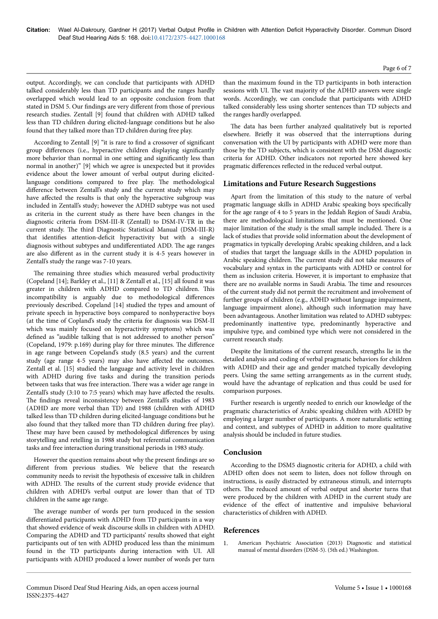output. Accordingly, we can conclude that participants with ADHD talked considerably less than TD participants and the ranges hardly overlapped which would lead to an opposite conclusion from that stated in DSM 5. Our findings are very different from those of previous research studies. Zentall [9] found that children with ADHD talked less than TD children during elicited-language conditions but he also found that they talked more than TD children during free play.

According to Zentall [9] "it is rare to find a crossover of significant group differences (i.e., hyperactive children displaying significantly more behavior than normal in one setting and significantly less than normal in another)" [9] which we agree is unexpected but it provides evidence about the lower amount of verbal output during elicitedlanguage conditions compared to free play. Нe methodological difference between Zentall's study and the current study which may have affected the results is that only the hyperactive subgroup was included in Zentall's study; however the ADHD subtype was not used as criteria in the current study as there have been changes in the diagnostic criteria from DSM-III-R (Zentall) to DSM-IV-TR in the current study. Нe third Diagnostic Statistical Manual (DSM-III-R) that identifies attention-deficit hyperactivity but with a single diagnosis without subtypes and undifferentiated ADD. The age ranges are also different as in the current study it is 4-5 years however in Zentall's study the range was 7-10 years.

The remaining three studies which measured verbal productivity (Copeland [14]; Barkley et al., [11] & Zentall et al., [15] all found it was greater in children with ADHD compared to TD children. Нis incompatibility is arguably due to methodological differences previously described. Copeland [14] studied the types and amount of private speech in hyperactive boys compared to nonhyperactive boys (at the time of Copland's study the criteria for diagnosis was DSM-II which was mainly focused on hyperactivity symptoms) which was defined as "audible talking that is not addressed to another person" (Copeland, 1979: p.169) during play for three minutes. The difference in age range between Copeland's study (8.5 years) and the current study (age range 4-5 years) may also have affected the outcomes. Zentall et al. [15] studied the language and activity level in children with ADHD during five tasks and during the transition periods between tasks that was free interaction. Нere was a wider age range in Zentall's study  $(3:10 \text{ to } 7:5 \text{ years})$  which may have affected the results. The findings reveal inconsistency between Zentall's studies of 1983 (ADHD are more verbal than TD) and 1988 (children with ADHD talked less than TD children during elicited-language conditions but he also found that they talked more than TD children during free play). These may have been caused by methodological differences by using storytelling and retelling in 1988 study but referential communication tasks and free interaction during transitional periods in 1983 study.

However the question remains about why the present findings are so different from previous studies. We believe that the research community needs to revisit the hypothesis of excessive talk in children with ADHD. Нe results of the current study provide evidence that children with ADHD's verbal output are lower than that of TD children in the same age range.

The average number of words per turn produced in the session differentiated participants with ADHD from TD participants in a way that showed evidence of weak discourse skills in children with ADHD. Comparing the ADHD and TD participants' results showed that eight participants out of ten with ADHD produced less than the minimum found in the TD participants during interaction with UI. All participants with ADHD produced a lower number of words per turn than the maximum found in the TD participants in both interaction sessions with UI. Нe vast majority of the ADHD answers were single words. Accordingly, we can conclude that participants with ADHD talked considerably less using shorter sentences than TD subjects and the ranges hardly overlapped.

The data has been further analyzed qualitatively but is reported elsewhere. Briefly it was observed that the interruptions during conversation with the UI by participants with ADHD were more than those by the TD subjects, which is consistent with the DSM diagnostic criteria for ADHD. Other indicators not reported here showed key pragmatic differences reflected in the reduced verbal output.

## **Limitations and Future Research Suggestions**

Apart from the limitation of this study to the nature of verbal pragmatic language skills in ADHD Arabic speaking boys specifically for the age range of 4 to 5 years in the Jeddah Region of Saudi Arabia, there are methodological limitations that must be mentioned. One major limitation of the study is the small sample included. Нere is a lack of studies that provide solid information about the development of pragmatics in typically developing Arabic speaking children, and a lack of studies that target the language skills in the ADHD population in Arabic speaking children. Нe current study did not take measures of vocabulary and syntax in the participants with ADHD or control for them as inclusion criteria. However, it is important to emphasize that there are no available norms in Saudi Arabia. Нe time and resources of the current study did not permit the recruitment and involvement of further groups of children (e.g., ADHD without language impairment, language impairment alone), although such information may have been advantageous. Another limitation was related to ADHD subtypes: predominantly inattentive type, predominantly hyperactive and impulsive type, and combined type which were not considered in the current research study.

Despite the limitations of the current research, strengths lie in the detailed analysis and coding of verbal pragmatic behaviors for children with ADHD and their age and gender matched typically developing peers. Using the same setting arrangements as in the current study, would have the advantage of replication and thus could be used for comparison purposes.

Further research is urgently needed to enrich our knowledge of the pragmatic characteristics of Arabic speaking children with ADHD by employing a larger number of participants. A more naturalistic setting and context, and subtypes of ADHD in addition to more qualitative analysis should be included in future studies.

### **Conclusion**

According to the DSM5 diagnostic criteria for ADHD, a child with ADHD often does not seem to listen, does not follow through on instructions, is easily distracted by extraneous stimuli, and interrupts others. Нe reduced amount of verbal output and shorter turns that were produced by the children with ADHD in the current study are evidence of the effect of inattentive and impulsive behavioral characteristics of children with ADHD.

### **References**

1. American Psychiatric Association (2013) Diagnostic and statistical manual of mental disorders (DSM-5). (5th ed.) Washington.